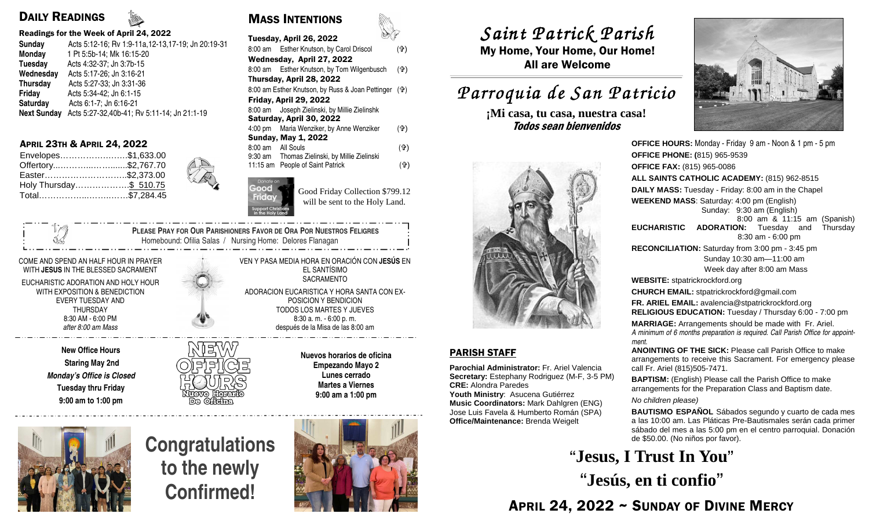## DAILY READINGS

### Readings for the Week of April 24, 2022

| Sunday             | Acts 5:12-16; Rv 1:9-11a, 12-13, 17-19; Jn 20:19-31 |
|--------------------|-----------------------------------------------------|
| Monday             | 1 Pt 5:5b-14; Mk 16:15-20                           |
| Tuesday            | Acts 4:32-37; Jn 3:7b-15                            |
| Wednesday          | Acts 5:17-26; Jn 3:16-21                            |
| <b>Thursday</b>    | Acts 5:27-33; Jn 3:31-36                            |
| <b>Friday</b>      | Acts 5:34-42; Jn 6:1-15                             |
| Saturday           | Acts 6:1-7; Jn 6:16-21                              |
| <b>Next Sunday</b> | Acts 5:27-32,40b-41; Rv 5:11-14; Jn 21:1-19         |
|                    |                                                     |

## APRIL 23TH & APRIL 24, 2022

| Envelopes\$1,633.00    |  |
|------------------------|--|
| Offertory\$2,767.70    |  |
| Easter\$2,373.00       |  |
| Holy Thursday\$ 510.75 |  |
| Total\$7,284.45        |  |

COME AND SPEND AN HALF HOUR IN PRAYER WITH **JESUS** IN THE BLESSED SACRAMENT

EUCHARISTIC ADORATION AND HOLY HOUR WITH EXPOSITION & BENEDICTION EVERY TUESDAY AND THURSDAY 8:30 AM - 6:00 PM *after 8:00 am Mass* 

> **New Office Hours Staring May 2nd Monday's Office is Closed Tuesday thru Friday 9:00 am to 1:00 pm**



MASS INTENTIONS

|                           | Tuesday, April 26, 2022                          |     |  |  |
|---------------------------|--------------------------------------------------|-----|--|--|
|                           | 8:00 am Esther Knutson, by Carol Driscol         | (유) |  |  |
| Wednesday, April 27, 2022 |                                                  |     |  |  |
|                           | 8:00 am Esther Knutson, by Tom Wilgenbusch       | (유) |  |  |
|                           | Thursday, April 28, 2022                         |     |  |  |
|                           | 8:00 am Esther Knutson, by Russ & Joan Pettinger | (유) |  |  |
|                           | Friday, April 29, 2022                           |     |  |  |
|                           | 8:00 am Joseph Zielinski, by Millie Zielinshk    |     |  |  |
|                           | Saturday, April 30, 2022                         |     |  |  |
|                           | 4:00 pm Maria Wenziker, by Anne Wenziker         | (유) |  |  |
|                           | Sunday, May 1, 2022                              |     |  |  |
| 8:00 am All Souls         |                                                  | (유) |  |  |
|                           | 9:30 am - Thomas Zielinski, by Millie Zielinski  |     |  |  |
|                           | 11:15 am People of Saint Patrick                 | (유) |  |  |
|                           |                                                  |     |  |  |

Good Friday Collection \$799.12 will be sent to the Holy Land.

 **PLEASE PRAY FOR OUR PARISHIONERS FAVOR DE ORA POR NUESTROS FELIGRES** Homebound: Ofilia Salas / Nursing Home: Delores Flanagan

> VEN Y PASA MEDIA HORA EN ORACIÓN CON **JESÚS** EN EL SANTÍSIMO **SACRAMENTO**

ADORACION EUCARISTICA Y HORA SANTA CON EX-POSICION Y BENDICION TODOS LOS MARTES Y JUEVES 8:30 a. m. - 6:00 p. m. después de la Misa de las 8:00 am

> **Nuevos horarios de oficina Empezando Mayo 2 Lunes cerrado Martes a Viernes 9:00 am a 1:00 pm**



**Congratulations to the newly Confirmed!**



# *Saint Patrick Parish Saint Parish*

 My Home, Your Home, Our Home! All are Welcome

## *Parroquia de San Patricio San Patricio*

**¡Mi casa, tu casa, nuestra casa!** Todos sean bienvenidos



## PARISH STAFF

**Parochial Administrator:** Fr. Ariel Valencia **Secretary:** Estephany Rodriguez (M-F, 3-5 PM)**CRE:** Alondra Paredes

 **Youth Ministry**: Asucena Gutiérrez **Music Coordinators:** Mark Dahlgren (ENG) Jose Luis Favela & Humberto Román (SPA) **Office/Maintenance:** Brenda Weigelt



**OFFICE HOURS:** Monday - Friday 9 am - Noon & 1 pm - 5 pm**OFFICE PHONE: (**815) 965-9539**OFFICE FAX:** (815) 965-0086 **ALL SAINTS CATHOLIC ACADEMY:** (815) 962-8515**DAILY MASS:** Tuesday - Friday: 8:00 am in the Chapel**WEEKEND MASS**: Saturday: 4:00 pm (English) Sunday: 9:30 am (English) 8:00 am & 11:15 am (Spanish) **EUCHARISTIC ADORATION:** Tuesday and Thursday 8:30 am - 6:00 pm **RECONCILIATION:** Saturday from 3:00 pm - 3:45 pm Sunday 10:30 am—11:00 am Week day after 8:00 am Mass**WEBSITE:** stpatrickrockford.org **CHURCH EMAIL:** stpatrickrockford@gmail.com **FR. ARIEL EMAIL:** avalencia@stpatrickrockford.org **RELIGIOUS EDUCATION:** Tuesday / Thursday 6:00 - 7:00 pm**MARRIAGE:** Arrangements should be made with Fr. Ariel. *A minimum of 6 months preparation is required. Call Parish Office for appointment.* **ANOINTING OF THE SICK:** Please call Parish Office to make arrangements to receive this Sacrament. For emergency please call Fr. Ariel (815)505-7471.**BAPTISM:** (English) Please call the Parish Office to make arrangements for the Preparation Class and Baptism date.

No children please)

**BAUTISMO ESPAÑOL** Sábados segundo y cuarto de cada mes a las 10:00 am. Las Pláticas Pre-Bautismales serán cada primer sábado del mes a las 5:00 pm en el centro parroquial. Donación de \$50.00. (No niños por favor).

**"Jesus, I Trust In You" "Jesús, en ti confio"**

APRIL 24, 2022 ~ SUNDAY OF DIVINE MERCY